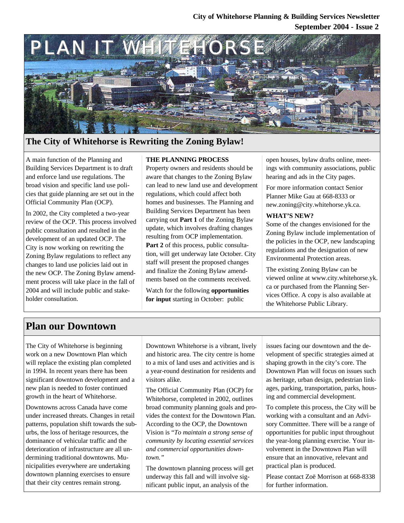## **September 2004 - Issue 2 City of Whitehorse Planning & Building Services Newsletter**



## **The City of Whitehorse is Rewriting the Zoning Bylaw!**

A main function of the Planning and Building Services Department is to draft and enforce land use regulations. The broad vision and specific land use policies that guide planning are set out in the Official Community Plan (OCP).

In 2002, the City completed a two-year review of the OCP. This process involved public consultation and resulted in the development of an updated OCP. The City is now working on rewriting the Zoning Bylaw regulations to reflect any changes to land use policies laid out in the new OCP. The Zoning Bylaw amendment process will take place in the fall of 2004 and will include public and stakeholder consultation.

### **THE PLANNING PROCESS**

Property owners and residents should be aware that changes to the Zoning Bylaw can lead to new land use and development regulations, which could affect both homes and businesses. The Planning and Building Services Department has been carrying out **Part 1** of the Zoning Bylaw update, which involves drafting changes resulting from OCP implementation. Part 2 of this process, public consultation, will get underway late October. City staff will present the proposed changes and finalize the Zoning Bylaw amendments based on the comments received.

Watch for the following **opportunities for input** starting in October: public

open houses, bylaw drafts online, meetings with community associations, public hearing and ads in the City pages.

For more information contact Senior Planner Mike Gau at 668-8333 or new.zoning@city.whitehorse.yk.ca.

#### **WHAT'S NEW?**

Some of the changes envisioned for the Zoning Bylaw include implementation of the policies in the OCP, new landscaping regulations and the designation of new Environmental Protection areas.

The existing Zoning Bylaw can be viewed online at www.city.whitehorse.yk. ca or purchased from the Planning Services Office. A copy is also available at the Whitehorse Public Library.

# **Plan our Downtown**

The City of Whitehorse is beginning work on a new Downtown Plan which will replace the existing plan completed in 1994. In recent years there has been significant downtown development and a new plan is needed to foster continued growth in the heart of Whitehorse.

Downtowns across Canada have come under increased threats. Changes in retail patterns, population shift towards the suburbs, the loss of heritage resources, the dominance of vehicular traffic and the deterioration of infrastructure are all undermining traditional downtowns. Municipalities everywhere are undertaking downtown planning exercises to ensure that their city centres remain strong.

Downtown Whitehorse is a vibrant, lively and historic area. The city centre is home to a mix of land uses and activities and is a year-round destination for residents and visitors alike.

The Official Community Plan (OCP) for Whitehorse, completed in 2002, outlines broad community planning goals and provides the context for the Downtown Plan. According to the OCP, the Downtown Vision is "*To maintain a strong sense of community by locating essential services and commercial opportunities downtown."*

The downtown planning process will get underway this fall and will involve significant public input, an analysis of the

issues facing our downtown and the development of specific strategies aimed at shaping growth in the city's core. The Downtown Plan will focus on issues such as heritage, urban design, pedestrian linkages, parking, transportation, parks, housing and commercial development.

To complete this process, the City will be working with a consultant and an Advisory Committee. There will be a range of opportunities for public input throughout the year-long planning exercise. Your involvement in the Downtown Plan will ensure that an innovative, relevant and practical plan is produced.

Please contact Zoë Morrison at 668-8338 for further information.